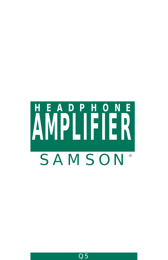# **HEADPHONE AMPLIFIER** *SAMSON*®

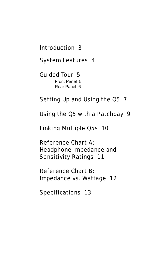#### [Introduction 3](#page-2-0)

[System Features 4](#page-3-0)

#### [Guided Tour 5](#page-4-0)

[Front Panel 5](#page-4-0) [Rear Panel 6](#page-5-0)

#### [Setting Up and Using the Q5 7](#page-6-0)

[Using the Q5 with a Patchbay 9](#page-8-0)

[Linking Multiple Q5s 10](#page-9-0)

Reference Chart A: [Headphone Impedance and](#page-10-0)  Sensitivity Ratings 11

Reference Chart B: [Impedance vs. Wattage 12](#page-11-0)

[Specifications 13](#page-12-0)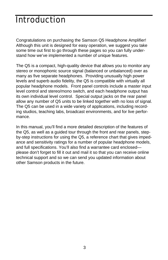#### <span id="page-2-0"></span>**Introduction**

Congratulations on purchasing the Samson Q5 Headphone Amplifier! Although this unit is designed for easy operation, we suggest you take some time out first to go through these pages so you can fully understand how we've implemented a number of unique features.

The Q5 is a compact, high-quality device that allows you to monitor any stereo or monophonic source signal (balanced or unbalanced) over as many as five separate headphones. Providing unusually high power levels and superb audio fidelity, the Q5 is compatible with virtually all popular headphone models. Front panel controls include a master input level control and stereo/mono switch, and each headphone output has its own individual level control. Special output jacks on the rear panel allow any number of Q5 units to be linked together with no loss of signal. The Q5 can be used in a wide variety of applications, including recording studios, teaching labs, broadcast environments, and for live performance.

In this manual, you'll find a more detailed description of the features of the Q5, as well as a guided tour through the front and rear panels, stepby-step instructions for using the Q5, a reference chart that gives impedance and sensitivity ratings for a number of popular headphone models, and full specifications. You'll also find a warrantee card enclosed please don't forget to fill it out and mail it so that you can receive online technical support and so we can send you updated information about other Samson products in the future.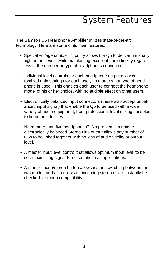## System Features

<span id="page-3-0"></span>The Samson Q5 Headphone Amplifier utilizes state-of-the-art technology. Here are some of its main features:

- Special voltage doubler circuitry allows the Q5 to deliver unusually high output levels while maintaining excellent audio fidelity regardless of the number or type of headphones connected.
- Individual level controls for each headphone output allow customized gain settings for each user, no matter what type of headphone is used. This enables each user to connect the headphone model of his or her choice, with no audible effect on other users.
- Electronically balanced input connectors (these also accept unbalanced input signal) that enable the Q5 to be used with a wide variety of audio equipment, from professional-level mixing consoles to home hi-fi devices.
- Need more than five headphones? No problem—a unique electronically balanced Stereo Link output allows any number of Q5s to be linked together with no loss of audio fidelity or output level.
- A master input level control that allows optimum input level to be set, maximizing signal-to-noise ratio in all applications.
- A master mono/stereo button allows instant switching between the two modes and also allows an incoming stereo mix to instantly be checked for mono compatibility.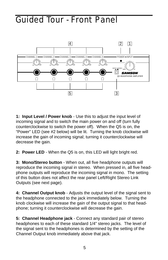#### <span id="page-4-0"></span>Guided Tour - Front Panel



**1: Input Level / Power knob** - Use this to adjust the input level of incoming signal and to switch the main power on and off (turn fully counterclockwise to switch the power off). When the Q5 is on, the "Power" LED (see #2 below) will be lit. Turning the knob clockwise will increase the gain of incoming signal; turning it counterclockwise will decrease the gain.

**2: Power LED** - When the Q5 is on, this LED will light bright red.

**3: Mono/Stereo button** - When out, all five headphone outputs will reproduce the incoming signal in stereo. When pressed in, all five headphone outputs will reproduce the incoming signal in mono. The setting of this button does not affect the rear panel Left/Right Stereo Link Outputs (see next page).

**4: Channel Output knob** - Adjusts the output level of the signal sent to the headphone connected to the jack immediately below. Turning the knob clockwise will increase the gain of the output signal to that headphone; turning it counterclockwise will decrease the gain.

**5: Channel Headphone jack** - Connect any standard pair of stereo headphones to each of these standard 1/4" stereo jacks. The level of the signal sent to the headphones is determined by the setting of the Channel Output knob immediately above that jack.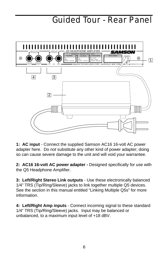#### Guided Tour - Rear Panel

<span id="page-5-0"></span>

**1: AC input** - Connect the supplied Samson AC16 16-volt AC power adapter here. Do not substitute any other kind of power adapter; doing so can cause severe damage to the unit and will void your warrantee.

**2: AC16 16-volt AC power adapter -** Designed specifically for use with the Q5 Headphone Amplifier.

**3: Left/Right Stereo Link outputs** - Use these electronically balanced 1/4" TRS (Tip/Ring/Sleeve) jacks to link together multiple Q5 devices. See the section in this manual entitled "Linking Multiple Q5s" for more information.

**4: Left/Right Amp inputs** - Connect incoming signal to these standard 1/4" TRS (Tip/Ring/Sleeve) jacks. Input may be balanced or unbalanced, to a maximum input level of +18 dBV.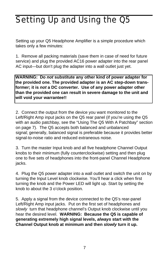# <span id="page-6-0"></span>Setting Up and Using the Q5

Setting up your Q5 Headphone Amplifier is a simple procedure which takes only a few minutes:

1. Remove all packing materials (save them in case of need for future service) and plug the provided AC16 power adapter into the rear panel AC input—but don't plug the adapter into a wall outlet just yet.

**WARNING: Do not substitute any other kind of power adapter for the provided one. The provided adapter is an AC step-down transformer; it is not a DC converter. Use of any power adapter other than the provided one can result in severe damage to the unit and will void your warrantee!!**

2. Connect the output from the device you want monitored to the Left/Right Amp input jacks on the Q5 rear panel (if you're using the Q5 with an audio patchbay, see the "Using The Q5 With A Patchbay" section on page 7). The Q5 accepts both balanced and unbalanced signal; generally, balanced signal is preferable because it provides better signal-to-noise ratio and reduced extraneous noise.

3. Turn the master Input knob and all five headphone Channel Output knobs to their minimum (fully counterclockwise) setting and then plug one to five sets of headphones into the front-panel Channel Headphone jacks.

4. Plug the Q5 power adapter into a wall outlet and switch the unit on by turning the Input Level knob clockwise. You'll hear a click when first turning the knob and the Power LED will light up. Start by setting the knob to about the 3 o'clock position.

5. Apply a signal from the device connected to the Q5's rear-panel Left/Right Amp input jacks. Put on the first set of headphones and slowly turn that headphone channel's Output knob clockwise until you hear the desired level. **WARNING: Because the Q5 is capable of generating extremely high signal levels, always start with the Channel Output knob at minimum and then slowly turn it up.**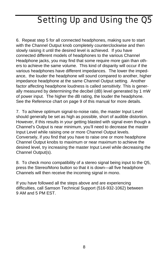# Setting Up and Using the Q5

6. Repeat step 5 for all connected headphones, making sure to start with the Channel Output knob completely counterclockwise and then slowly raising it until the desired level is achieved. If you have connected different models of headphones to the various Channel Headphone jacks, you may find that some require more gain than others to achieve the same volume. This kind of disparity will occur if the various headphones have different impedances. The lower the impedance, the louder the headphone will sound compared to another, higher impedance headphone at the same Channel Output setting. Another factor affecting headphone loudness is called sensitivity. This is generally measured by determining the decibel (dB) level generated by 1 mW of power input. The higher the dB rating, the louder the headphone. See the Reference chart on page 9 of this manual for more details.

7. To achieve optimum signal-to-noise ratio, the master Input Level should generally be set as high as possible, short of audible distortion. However, if this results in your getting blasted with signal even though a Channel's Output is near minimum, you'll need to decrease the master Input Level while raising one or more Channel Output levels. Conversely, if you find that you have to raise one or more headphone Channel Output knobs to maximum or near maximum to achieve the desired level, try increasing the master Input Level while decreasing the Channel Output(s).

8. To check mono compatibility of a stereo signal being input to the Q5, press the Stereo/Mono button so that it is down—all five headphone Channels will then receive the incoming signal in mono.

If you have followed all the steps above and are experiencing difficulties, call Samson Technical Support (516-932-1062) between 9 AM and 5 PM EST.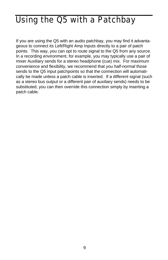## <span id="page-8-0"></span>Using the Q5 with a Patchbay

If you are using the Q5 with an audio patchbay, you may find it advantageous to connect its Left/Right Amp Inputs directly to a pair of patch points. This way, you can opt to route signal to the Q5 from any source. In a recording environment, for example, you may typically use a pair of mixer Auxiliary sends for a stereo headphone (cue) mix. For maximum convenience and flexibility, we recommend that you half-normal those sends to the Q5 input patchpoints so that the connection will automatically be made unless a patch cable is inserted. If a different signal (such as a stereo bus output or a different pair of auxiliary sends) needs to be substituted, you can then override this connection simply by inserting a patch cable.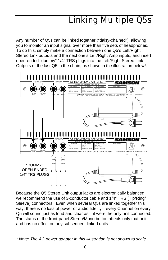# Linking Multiple Q5s

<span id="page-9-0"></span>Any number of Q5s can be linked together ("daisy-chained"), allowing you to monitor an input signal over more than five sets of headphones. To do this, simply make a connection between one Q5's Left/Right Stereo Link outputs and the next one's Left/Right Amp inputs, and insert open-ended "dummy" 1/4" TRS plugs into the Left/Right Stereo Link Outputs of the last Q5 in the chain, as shown in the illustration below\*:



Because the Q5 Stereo Link output jacks are electronically balanced, we recommend the use of 3-conductor cable and 1/4" TRS (Tip/Ring/ Sleeve) connectors. Even when several Q5s are linked together this way, there is no loss of power or audio fidelity—every Channel on every Q5 will sound just as loud and clear as if it were the only unit connected. The status of the front-panel Stereo/Mono button affects only that unit and has no effect on any subsequent linked units.

<sup>\*</sup> Note: The AC power adapter in this illustration is not shown to scale.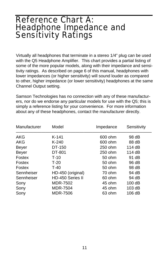#### <span id="page-10-0"></span>Reference Chart A: Headphone Impedance and Sensitivity Ratings

Virtually all headphones that terminate in a stereo 1/4" plug can be used with the Q5 Headphone Amplifier. This chart provides a partial listing of some of the more popular models, along with their impedance and sensitivity ratings. As described on page 6 of this manual, headphones with lower impedances (or higher sensitivity) will sound louder as compared to other, higher impedance (or lower sensitivity) headphones at the same Channel Output setting.

Samson Technologies has no connection with any of these manufacturers, nor do we endorse any particular models for use with the Q5; this is simply a reference listing for your convenience. For more information about any of these headphones, contact the manufacturer directly.

| Manufacturer | Model             | Impedance | Sensitivity |
|--------------|-------------------|-----------|-------------|
| AKG          | K-141             | 600 ohm   | 98 dB       |
| AKG          | $K-240$           | 600 ohm   | 88 dB       |
| Beyer        | DT-150            | 250 ohm   | 114 $dB$    |
| <b>Beyer</b> | DT-801            | 250 ohm   | 114 $dB$    |
| Fostex       | $T-10$            | 50 ohm    | 91 dB       |
| Fostex       | $T-20$            | $50$ ohm  | 96 dB       |
| Fostex       | $T-40$            | 50 ohm    | 98 dB       |
| Sennheiser   | HD-450 (original) | 70 ohm    | 94 dB       |
| Sennheiser   | HD-450 Series II  | 60 ohm    | 94 dB       |
| Sony         | MDR-7502          | 45 ohm    | 100dB       |
| Sony         | <b>MDR-7504</b>   | 45 ohm    | 103 dB      |
| Sony         | <b>MDR-7506</b>   | 63 ohm    | 106 dB      |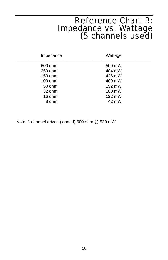# Reference Chart B: Impedance vs. Wattage (5 channels used)

<span id="page-11-0"></span>

| Impedance          | Wattage          |
|--------------------|------------------|
| 600 ohm            | 500 mW           |
| 250 ohm<br>150 ohm | 484 mW<br>426 mW |
| 100 ohm            | 409 mW           |
| 50 ohm<br>32 ohm   | 192 mW<br>180 mW |
| 16 ohm             | 122 mW           |
| 8 ohm              | 42 mW            |

Note: 1 channel driven (loaded) 600 ohm @ 530 mW